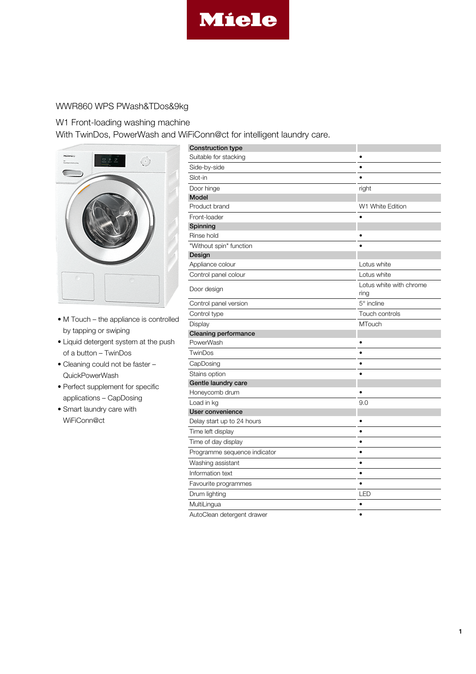

## WWR860 WPS PWash&TDos&9kg

## W1 Front-loading washing machine

With TwinDos, PowerWash and WiFiConn@ct for intelligent laundry care.



- M Touch the appliance is controlled by tapping or swiping
- Liquid detergent system at the push of a button – TwinDos
- Cleaning could not be faster QuickPowerWash
- Perfect supplement for specific applications – CapDosing
- Smart laundry care with WiFiConn@ct

| <b>Construction type</b>                                                                                                      |                                 |
|-------------------------------------------------------------------------------------------------------------------------------|---------------------------------|
| Suitable for stacking                                                                                                         | ٠                               |
| Side-by-side                                                                                                                  | $\bullet$                       |
| Slot-in                                                                                                                       | $\bullet$                       |
| Door hinge                                                                                                                    | right                           |
| Model                                                                                                                         |                                 |
| Product brand                                                                                                                 | W1 White Edition                |
| Front-loader                                                                                                                  |                                 |
| Spinning                                                                                                                      |                                 |
| Rinse hold                                                                                                                    |                                 |
| "Without spin" function                                                                                                       |                                 |
| Design                                                                                                                        |                                 |
| Appliance colour                                                                                                              | Lotus white                     |
| Control panel colour                                                                                                          | Lotus white                     |
| Door design                                                                                                                   | Lotus white with chrome<br>ring |
| Control panel version                                                                                                         | $5^\circ$ incline               |
| Control type                                                                                                                  | Touch controls                  |
| Display                                                                                                                       | <b>MTouch</b>                   |
| <b>Cleaning performance</b>                                                                                                   |                                 |
| PowerWash                                                                                                                     | $\bullet$                       |
| TwinDos                                                                                                                       | $\bullet$                       |
| CapDosing                                                                                                                     | ٠                               |
| Stains option                                                                                                                 | $\bullet$                       |
| Gentle laundry care                                                                                                           |                                 |
| Honeycomb drum                                                                                                                | $\bullet$                       |
| Load in kg                                                                                                                    | 9.0                             |
| User convenience                                                                                                              |                                 |
| Delay start up to 24 hours                                                                                                    | ٠                               |
| Time left display                                                                                                             | $\bullet$                       |
| Time of day display                                                                                                           | ٠                               |
| Programme sequence indicator                                                                                                  | ٠                               |
| Washing assistant                                                                                                             | ٠                               |
| Information text                                                                                                              | $\bullet$                       |
| Favourite programmes                                                                                                          | $\bullet$                       |
| Drum lighting                                                                                                                 | LED                             |
| MultiLingua                                                                                                                   | $\bullet$                       |
| $\Lambda$ . $\Lambda$ $\sim$ $\Omega$ and $\sim$ $\sim$ $\Lambda$ and $\sim$ $\sim$ $\Lambda$ and $\sim$ $\sim$ $\sim$ $\sim$ |                                 |

AutoClean detergent drawer •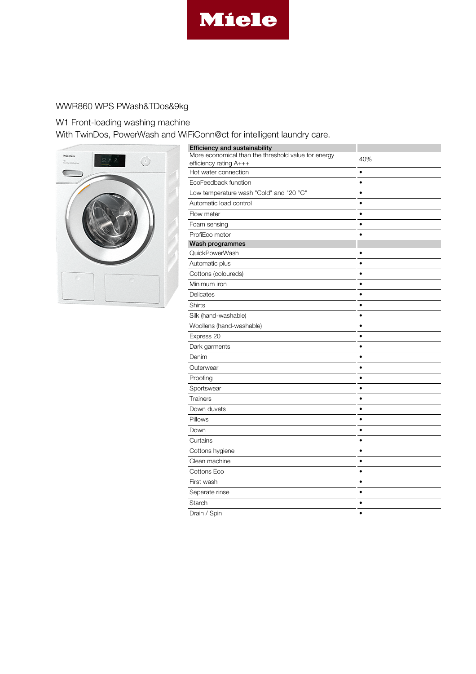

## WWR860 WPS PWash&TDos&9kg

W1 Front-loading washing machine

With TwinDos, PowerWash and WiFiConn@ct for intelligent laundry care.



| <b>Efficiency and sustainability</b>                                          |           |
|-------------------------------------------------------------------------------|-----------|
| More economical than the threshold value for energy<br>efficiency rating A+++ | 40%       |
| Hot water connection                                                          | $\bullet$ |
| EcoFeedback function                                                          |           |
| Low temperature wash "Cold" and "20 °C"                                       | $\bullet$ |
| Automatic load control                                                        |           |
| Flow meter                                                                    | $\bullet$ |
| Foam sensing                                                                  | ٠         |
| ProfiEco motor                                                                |           |
| Wash programmes                                                               |           |
| QuickPowerWash                                                                |           |
| Automatic plus                                                                | $\bullet$ |
| Cottons (coloureds)                                                           | $\bullet$ |
| Minimum iron                                                                  |           |
| Delicates                                                                     | ٠         |
| Shirts                                                                        | $\bullet$ |
| Silk (hand-washable)                                                          | $\bullet$ |
| Woollens (hand-washable)                                                      | $\bullet$ |
| Express 20                                                                    |           |
| Dark garments                                                                 | $\bullet$ |
| Denim                                                                         | $\bullet$ |
| Outerwear                                                                     | $\bullet$ |
| Proofing                                                                      | $\bullet$ |
| Sportswear                                                                    |           |
| Trainers                                                                      |           |
| Down duvets                                                                   | ٠         |
| Pillows                                                                       |           |
| Down                                                                          | ٠         |
| Curtains                                                                      |           |
| Cottons hygiene                                                               |           |
| Clean machine                                                                 | ٠         |
| Cottons Eco                                                                   | $\bullet$ |
| First wash                                                                    | $\bullet$ |
| Separate rinse                                                                | ٠         |
| Starch                                                                        | ٠         |
| Drain / Spin                                                                  |           |